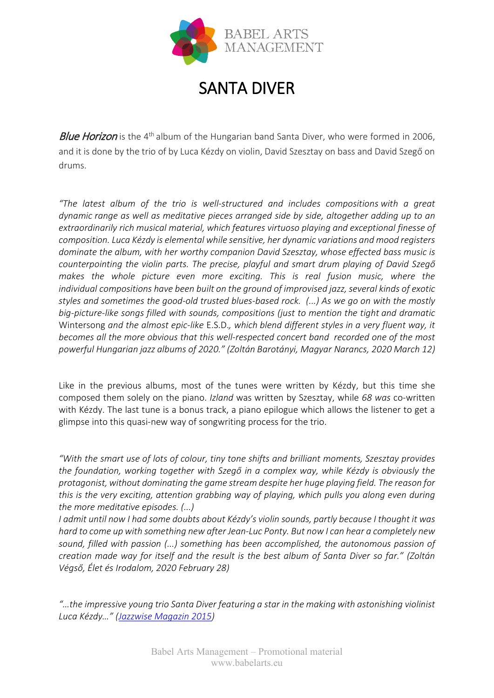

## SANTA DIVER

**Blue Horizon** is the 4<sup>th</sup> album of the Hungarian band Santa Diver, who were formed in 2006, and it is done by the trio of by Luca Kézdy on violin, David Szesztay on bass and David Szegő on drums.

*"The latest album of the trio is well-structured and includes compositions with a great dynamic range as well as meditative pieces arranged side by side, altogether adding up to an extraordinarily rich musical material, which features virtuoso playing and exceptional finesse of composition. Luca Kézdy is elemental while sensitive, her dynamic variations and mood registers dominate the album, with her worthy companion David Szesztay, whose effected bass music is counterpointing the violin parts. The precise, playful and smart drum playing of David Szegő*  makes the whole picture even more exciting. This is real fusion music, where the *individual compositions have been built on the ground of improvised jazz, several kinds of exotic styles and sometimes the good-old trusted blues-based rock. (...) As we go on with the mostly big-picture-like songs filled with sounds, compositions (just to mention the tight and dramatic*  Wintersong *and the almost epic-like* E.S.D.*, which blend different styles in a very fluent way, it becomes all the more obvious that this well-respected concert band recorded one of the most powerful Hungarian jazz albums of 2020." (Zoltán Barotányi, Magyar Narancs, 2020 March 12)*

Like in the previous albums, most of the tunes were written by Kézdy, but this time she composed them solely on the piano. *Izland* was written by Szesztay, while *68 was* co-written with Kézdy. The last tune is a bonus track, a piano epilogue which allows the listener to get a glimpse into this quasi-new way of songwriting process for the trio.

*"With the smart use of lots of colour, tiny tone shifts and brilliant moments, Szesztay provides the foundation, working together with Szegő in a complex way, while Kézdy is obviously the protagonist, without dominating the game stream despite her huge playing field. The reason for this is the very exciting, attention grabbing way of playing, which pulls you along even during the more meditative episodes. (...)*

*I admit until now I had some doubts about Kézdy's violin sounds, partly because I thought it was hard to come up with something new after Jean-Luc Ponty. But now I can hear a completely new sound, filled with passion (...) something has been accomplished, the autonomous passion of creation made way for itself and the result is the best album of Santa Diver so far." (Zoltán Végső, Élet és Irodalom, 2020 February 28)* 

*"…the impressive young trio Santa Diver featuring a star in the making with astonishing violinist Luca Kézdy…" [\(Jazzwise Magazin 2015\)](http://www.jazzwisemagazine.com/breaking-news/13824-budapest-bop-european-jazz-network-hits-hungary-for-2015-jazz-conference-and-showcase-concerts)*